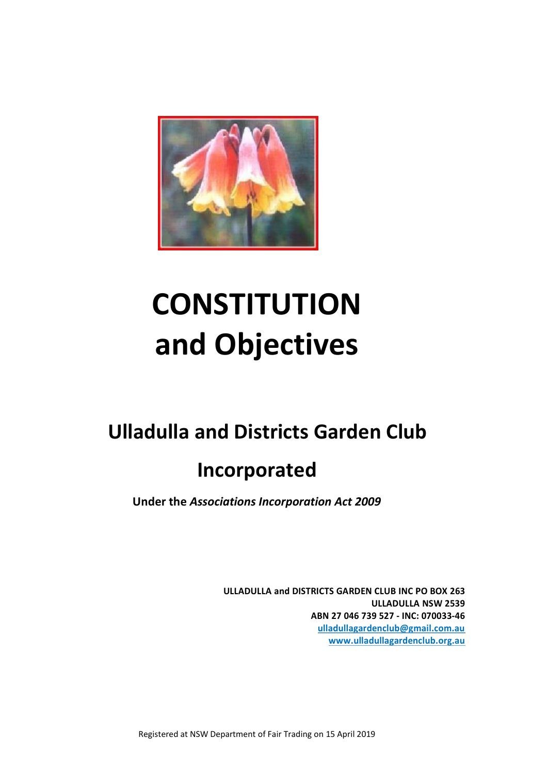

# **CONSTITUTION and Objectives**

# **Ulladulla and Districts Garden Club**

# **Incorporated**

**Under the** *Associations Incorporation Act 2009*

**ULLADULLA and DISTRICTS GARDEN CLUB INC PO BOX 263 ULLADULLA NSW 2539 ABN 27 046 739 527 - INC: 070033-46 ulladullagardenclub@gmail.com.au [www.ulladullagardenclub.org.au](http://www.ulladullagardenclub.org.au/)**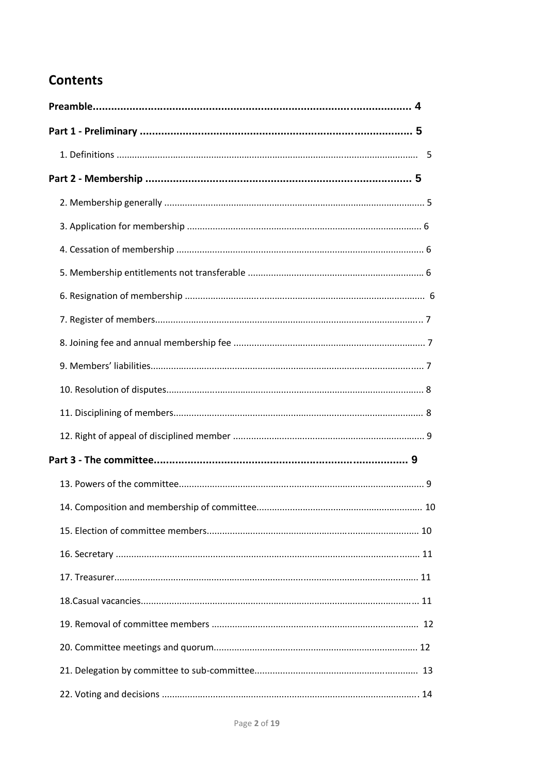# **Contents**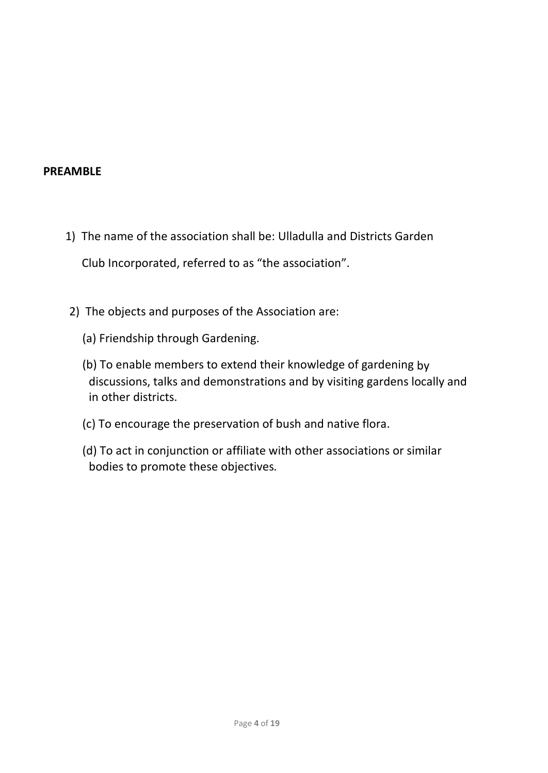#### **PREAMBLE**

- 1) The name of the association shall be: Ulladulla and Districts Garden Club Incorporated, referred to as "the association".
- 2) The objects and purposes of the Association are:
	- (a) Friendship through Gardening.
	- (b) To enable members to extend their knowledge of gardening by discussions, talks and demonstrations and by visiting gardens locally and in other districts.
	- (c) To encourage the preservation of bush and native flora.
	- (d) To act in conjunction or affiliate with other associations or similar bodies to promote these objectives*.*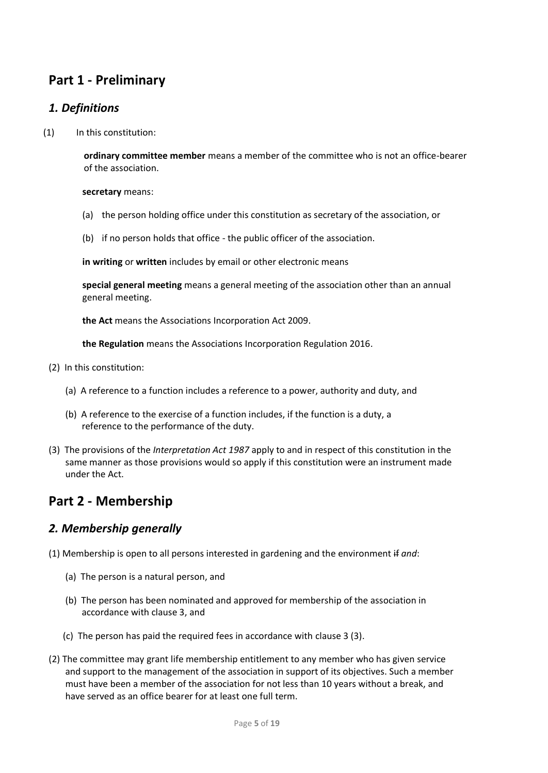# **Part 1 - Preliminary**

#### *1. Definitions*

(1) In this constitution:

**ordinary committee member** means a member of the committee who is not an office-bearer of the association.

**secretary** means:

- (a) the person holding office under this constitution as secretary of the association, or
- (b) if no person holds that office the public officer of the association.

**in writing** or **written** includes by email or other electronic means

**special general meeting** means a general meeting of the association other than an annual general meeting.

**the Act** means the [Associations Incorporation Act 2009.](http://www.legislation.nsw.gov.au/xref/inforce/?xref=Type%3Dact%20AND%20Year%3D2009%20AND%20no%3D7&nohits=y)

**the Regulation** means th[e Associations Incorporation Regulation 2016.](http://www.legislation.nsw.gov.au/xref/inforce/?xref=Type%3Dsubordleg%20AND%20Year%3D2010%20AND%20No%3D238&nohits=y)

- (2) In this constitution:
	- (a) A reference to a function includes a reference to a power, authority and duty, and
	- (b) A reference to the exercise of a function includes, if the function is a duty, a reference to the performance of the duty.
- (3) The provisions of the *Interpretation Act 1987* [apply to and in respect of this constitution](http://www.legislation.nsw.gov.au/xref/inforce/?xref=Type%3Dact%20AND%20Year%3D1987%20AND%20no%3D15&nohits=y) in the same manner as those provisions would so apply if this constitution were an instrument made under the Act.

# **Part 2 - Membership**

#### *2. Membership generally*

- (1) Membership is open to all persons interested in gardening and the environment if *and*:
	- (a) The person is a natural person, and
	- (b) The person has been nominated and approved for membership of the association in accordance with clause 3, and
	- (c) The person has paid the required fees in accordance with clause 3 (3).
- (2) The committee may grant life membership entitlement to any member who has given service and support to the management of the association in support of its objectives. Such a member must have been a member of the association for not less than 10 years without a break, and have served as an office bearer for at least one full term.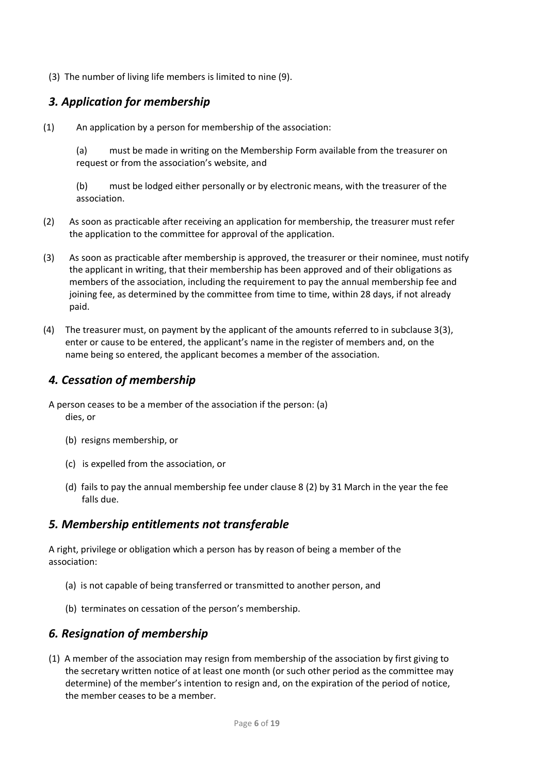(3) The number of living life members is limited to nine (9).

### *3. Application for membership*

(1) An application by a person for membership of the association:

(a) must be made in writing on the Membership Form available from the treasurer on request or from the association's website, and

(b) must be lodged either personally or by electronic means, with the treasurer of the association.

- (2) As soon as practicable after receiving an application for membership, the treasurer must refer the application to the committee for approval of the application.
- (3) As soon as practicable after membership is approved, the treasurer or their nominee, must notify the applicant in writing, that their membership has been approved and of their obligations as members of the association, including the requirement to pay the annual membership fee and joining fee, as determined by the committee from time to time, within 28 days, if not already paid.
- (4) The treasurer must, on payment by the applicant of the amounts referred to in subclause 3(3), enter or cause to be entered, the applicant's name in the register of members and, on the name being so entered, the applicant becomes a member of the association.

#### *4. Cessation of membership*

- A person ceases to be a member of the association if the person: (a) dies, or
	- (b) resigns membership, or
	- (c) is expelled from the association, or
	- (d) fails to pay the annual membership fee under clause 8 (2) by 31 March in the year the fee falls due.

#### *5. Membership entitlements not transferable*

A right, privilege or obligation which a person has by reason of being a member of the association:

- (a) is not capable of being transferred or transmitted to another person, and
- (b) terminates on cessation of the person's membership.

#### *6. Resignation of membership*

(1) A member of the association may resign from membership of the association by first giving to the secretary written notice of at least one month (or such other period as the committee may determine) of the member's intention to resign and, on the expiration of the period of notice, the member ceases to be a member.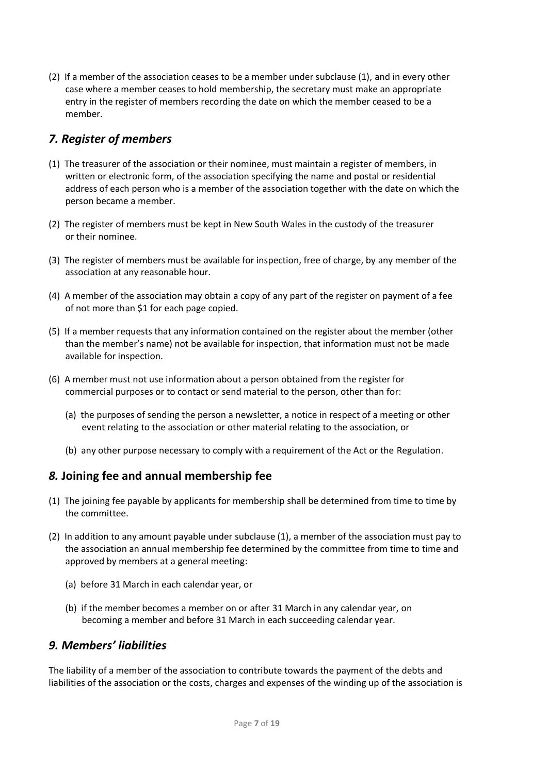(2) If a member of the association ceases to be a member under subclause (1), and in every other case where a member ceases to hold membership, the secretary must make an appropriate entry in the register of members recording the date on which the member ceased to be a member.

### *7. Register of members*

- (1) The treasurer of the association or their nominee, must maintain a register of members, in written or electronic form, of the association specifying the name and postal or residential address of each person who is a member of the association together with the date on which the person became a member.
- (2) The register of members must be kept in New South Wales in the custody of the treasurer or their nominee.
- (3) The register of members must be available for inspection, free of charge, by any member of the association at any reasonable hour.
- (4) A member of the association may obtain a copy of any part of the register on payment of a fee of not more than \$1 for each page copied.
- (5) If a member requests that any information contained on the register about the member (other than the member's name) not be available for inspection, that information must not be made available for inspection.
- (6) A member must not use information about a person obtained from the register for commercial purposes or to contact or send material to the person, other than for:
	- (a) the purposes of sending the person a newsletter, a notice in respect of a meeting or other event relating to the association or other material relating to the association, or
	- (b) any other purpose necessary to comply with a requirement of the Act or the Regulation.

#### *8.* **Joining fee and annual membership fee**

- (1) The joining fee payable by applicants for membership shall be determined from time to time by the committee.
- (2) In addition to any amount payable under subclause (1), a member of the association must pay to the association an annual membership fee determined by the committee from time to time and approved by members at a general meeting:
	- (a) before 31 March in each calendar year, or
	- (b) if the member becomes a member on or after 31 March in any calendar year, on becoming a member and before 31 March in each succeeding calendar year.

#### *9. Members' liabilities*

The liability of a member of the association to contribute towards the payment of the debts and liabilities of the association or the costs, charges and expenses of the winding up of the association is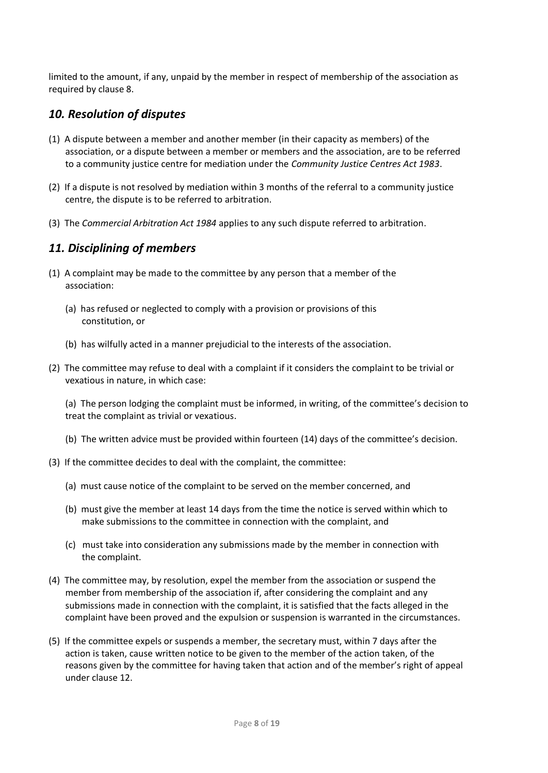limited to the amount, if any, unpaid by the member in respect of membership of the association as required by clause 8.

#### *10. Resolution of disputes*

- (1) A dispute between a member and another member (in their capacity as members) of the association, or a dispute between a member or members and the association, are to be referred to a community justice centre for mediation under the *Community Justice [Centres Act 1983](http://www.legislation.nsw.gov.au/xref/inforce/?xref=Type%3Dact%20AND%20Year%3D1983%20AND%20no%3D127&nohits=y)*.
- (2) If a dispute is not resolved by mediation within 3 months of the referral to a community justice centre, the dispute is to be referred to arbitration.
- (3) The *Commercial Arbitration Act 1984* [applies to any such dispute referred to arbitration.](http://www.legislation.nsw.gov.au/xref/inforce/?xref=Type%3Dact%20AND%20Year%3D1984%20AND%20no%3D160&nohits=y)

#### *11. Disciplining of members*

- (1) A complaint may be made to the committee by any person that a member of the association:
	- (a) has refused or neglected to comply with a provision or provisions of this constitution, or
	- (b) has wilfully acted in a manner prejudicial to the interests of the association.
- (2) The committee may refuse to deal with a complaint if it considers the complaint to be trivial or vexatious in nature, in which case:

(a) The person lodging the complaint must be informed, in writing, of the committee's decision to treat the complaint as trivial or vexatious.

- (b) The written advice must be provided within fourteen (14) days of the committee's decision.
- (3) If the committee decides to deal with the complaint, the committee:
	- (a) must cause notice of the complaint to be served on the member concerned, and
	- (b) must give the member at least 14 days from the time the notice is served within which to make submissions to the committee in connection with the complaint, and
	- (c) must take into consideration any submissions made by the member in connection with the complaint.
- (4) The committee may, by resolution, expel the member from the association or suspend the member from membership of the association if, after considering the complaint and any submissions made in connection with the complaint, it is satisfied that the facts alleged in the complaint have been proved and the expulsion or suspension is warranted in the circumstances.
- (5) If the committee expels or suspends a member, the secretary must, within 7 days after the action is taken, cause written notice to be given to the member of the action taken, of the reasons given by the committee for having taken that action and of the member's right of appeal under clause 12.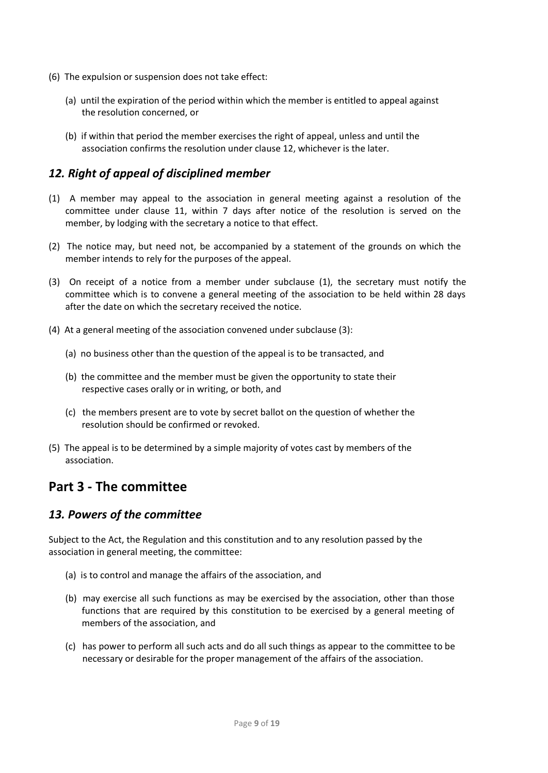- (6) The expulsion or suspension does not take effect:
	- (a) until the expiration of the period within which the member is entitled to appeal against the resolution concerned, or
	- (b) if within that period the member exercises the right of appeal, unless and until the association confirms the resolution under clause 12, whichever is the later.

#### *12. Right of appeal of disciplined member*

- (1) A member may appeal to the association in general meeting against a resolution of the committee under clause 11, within 7 days after notice of the resolution is served on the member, by lodging with the secretary a notice to that effect.
- (2) The notice may, but need not, be accompanied by a statement of the grounds on which the member intends to rely for the purposes of the appeal.
- (3) On receipt of a notice from a member under subclause (1), the secretary must notify the committee which is to convene a general meeting of the association to be held within 28 days after the date on which the secretary received the notice.
- (4) At a general meeting of the association convened under subclause (3):
	- (a) no business other than the question of the appeal is to be transacted, and
	- (b) the committee and the member must be given the opportunity to state their respective cases orally or in writing, or both, and
	- (c) the members present are to vote by secret ballot on the question of whether the resolution should be confirmed or revoked.
- (5) The appeal is to be determined by a simple majority of votes cast by members of the association.

# **Part 3 - The committee**

#### *13. Powers of the committee*

Subject to the Act, the Regulation and this constitution and to any resolution passed by the association in general meeting, the committee:

- (a) is to control and manage the affairs of the association, and
- (b) may exercise all such functions as may be exercised by the association, other than those functions that are required by this constitution to be exercised by a general meeting of members of the association, and
- (c) has power to perform all such acts and do all such things as appear to the committee to be necessary or desirable for the proper management of the affairs of the association.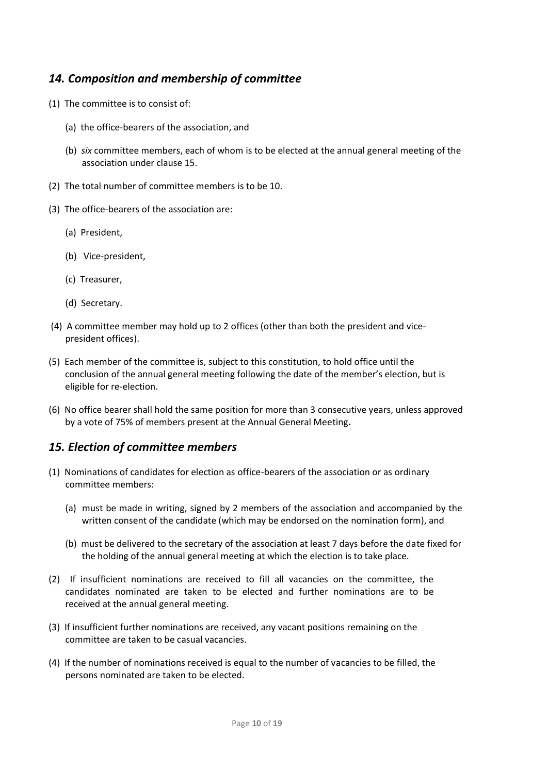#### *14. Composition and membership of committee*

- (1) The committee is to consist of:
	- (a) the office-bearers of the association, and
	- (b) *six* committee members, each of whom is to be elected at the annual general meeting of the association under clause 15.
- (2) The total number of committee members is to be 10.
- (3) The office-bearers of the association are:
	- (a) President,
	- (b) Vice-president,
	- (c) Treasurer,
	- (d) Secretary.
- (4) A committee member may hold up to 2 offices (other than both the president and vicepresident offices).
- (5) Each member of the committee is, subject to this constitution, to hold office until the conclusion of the annual general meeting following the date of the member's election, but is eligible for re-election.
- (6) No office bearer shall hold the same position for more than 3 consecutive years, unless approved by a vote of 75% of members present at the Annual General Meeting**.**

#### *15. Election of committee members*

- (1) Nominations of candidates for election as office-bearers of the association or as ordinary committee members:
	- (a) must be made in writing, signed by 2 members of the association and accompanied by the written consent of the candidate (which may be endorsed on the nomination form), and
	- (b) must be delivered to the secretary of the association at least 7 days before the date fixed for the holding of the annual general meeting at which the election is to take place.
- (2) If insufficient nominations are received to fill all vacancies on the committee, the candidates nominated are taken to be elected and further nominations are to be received at the annual general meeting.
- (3) If insufficient further nominations are received, any vacant positions remaining on the committee are taken to be casual vacancies.
- (4) If the number of nominations received is equal to the number of vacancies to be filled, the persons nominated are taken to be elected.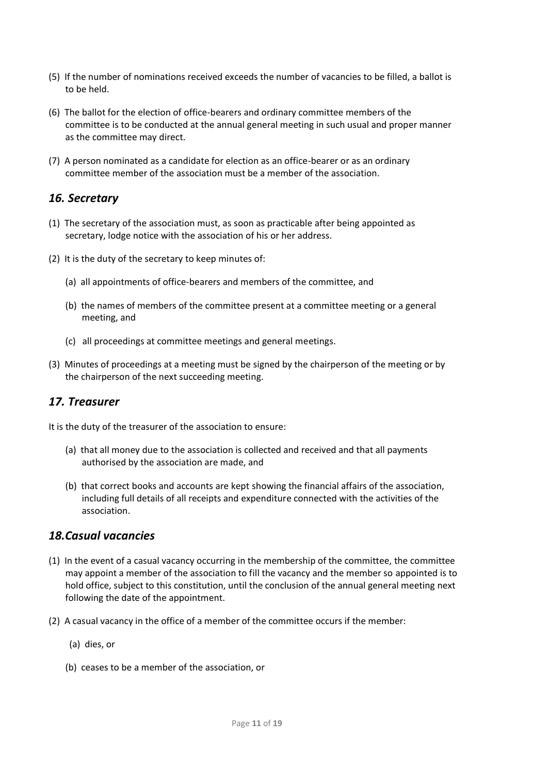- (5) If the number of nominations received exceeds the number of vacancies to be filled, a ballot is to be held.
- (6) The ballot for the election of office-bearers and ordinary committee members of the committee is to be conducted at the annual general meeting in such usual and proper manner as the committee may direct.
- (7) A person nominated as a candidate for election as an office-bearer or as an ordinary committee member of the association must be a member of the association.

#### *16. Secretary*

- (1) The secretary of the association must, as soon as practicable after being appointed as secretary, lodge notice with the association of his or her address.
- (2) It is the duty of the secretary to keep minutes of:
	- (a) all appointments of office-bearers and members of the committee, and
	- (b) the names of members of the committee present at a committee meeting or a general meeting, and
	- (c) all proceedings at committee meetings and general meetings.
- (3) Minutes of proceedings at a meeting must be signed by the chairperson of the meeting or by the chairperson of the next succeeding meeting.

#### *17. Treasurer*

It is the duty of the treasurer of the association to ensure:

- (a) that all money due to the association is collected and received and that all payments authorised by the association are made, and
- (b) that correct books and accounts are kept showing the financial affairs of the association, including full details of all receipts and expenditure connected with the activities of the association.

#### *18.Casual vacancies*

- (1) In the event of a casual vacancy occurring in the membership of the committee, the committee may appoint a member of the association to fill the vacancy and the member so appointed is to hold office, subject to this constitution, until the conclusion of the annual general meeting next following the date of the appointment.
- (2) A casual vacancy in the office of a member of the committee occurs if the member:
	- (a) dies, or
	- (b) ceases to be a member of the association, or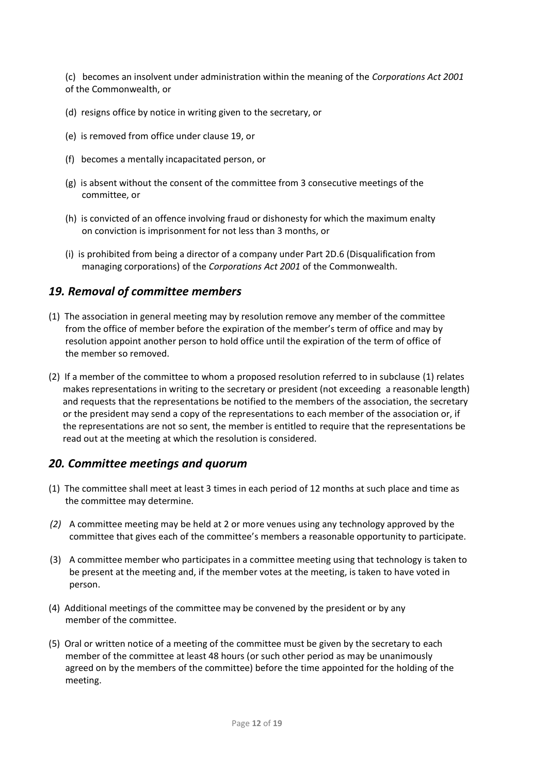(c) becomes an insolvent under administration within the meaning of the *Corporations [Act 2001](http://www.comlaw.gov.au/)*  [of the Commonwealth, or](http://www.comlaw.gov.au/)

- (d) resigns office by notice in writing given to the secretary, or
- (e) is removed from office under clause 19, or
- (f) becomes a mentally incapacitated person, or
- (g) is absent without the consent of the committee from 3 consecutive meetings of the committee, or
- (h) is convicted of an offence involving fraud or dishonesty for which the maximum enalty on conviction is imprisonment for not less than 3 months, or
- (i) is prohibited from being a director of a company under Part 2D.6 (Disqualification from managing corporations) of the *Corporations Act 2001* [of the Commonwealth.](http://www.comlaw.gov.au/)

#### *19. Removal of committee members*

- (1) The association in general meeting may by resolution remove any member of the committee from the office of member before the expiration of the member's term of office and may by resolution appoint another person to hold office until the expiration of the term of office of the member so removed.
- (2) If a member of the committee to whom a proposed resolution referred to in subclause (1) relates makes representations in writing to the secretary or president (not exceeding a reasonable length) and requests that the representations be notified to the members of the association, the secretary or the president may send a copy of the representations to each member of the association or, if the representations are not so sent, the member is entitled to require that the representations be read out at the meeting at which the resolution is considered.

#### *20. Committee meetings and quorum*

- (1) The committee shall meet at least 3 times in each period of 12 months at such place and time as the committee may determine.
- *(2)* A committee meeting may be held at 2 or more venues using any technology approved by the committee that gives each of the committee's members a reasonable opportunity to participate.
- (3) A committee member who participates in a committee meeting using that technology is taken to be present at the meeting and, if the member votes at the meeting, is taken to have voted in person.
- (4) Additional meetings of the committee may be convened by the president or by any member of the committee.
- (5) Oral or written notice of a meeting of the committee must be given by the secretary to each member of the committee at least 48 hours (or such other period as may be unanimously agreed on by the members of the committee) before the time appointed for the holding of the meeting.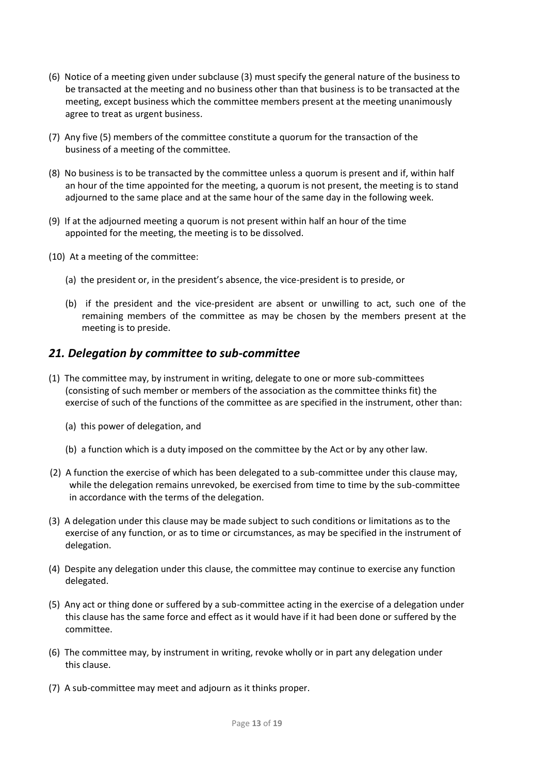- (6) Notice of a meeting given under subclause (3) must specify the general nature of the business to be transacted at the meeting and no business other than that business is to be transacted at the meeting, except business which the committee members present at the meeting unanimously agree to treat as urgent business.
- (7) Any five (5) members of the committee constitute a quorum for the transaction of the business of a meeting of the committee.
- (8) No business is to be transacted by the committee unless a quorum is present and if, within half an hour of the time appointed for the meeting, a quorum is not present, the meeting is to stand adjourned to the same place and at the same hour of the same day in the following week.
- (9) If at the adjourned meeting a quorum is not present within half an hour of the time appointed for the meeting, the meeting is to be dissolved.
- (10) At a meeting of the committee:
	- (a) the president or, in the president's absence, the vice-president is to preside, or
	- (b) if the president and the vice-president are absent or unwilling to act, such one of the remaining members of the committee as may be chosen by the members present at the meeting is to preside.

#### *21. Delegation by committee to sub-committee*

- (1) The committee may, by instrument in writing, delegate to one or more sub-committees (consisting of such member or members of the association as the committee thinks fit) the exercise of such of the functions of the committee as are specified in the instrument, other than:
	- (a) this power of delegation, and
	- (b) a function which is a duty imposed on the committee by the Act or by any other law.
- (2) A function the exercise of which has been delegated to a sub-committee under this clause may, while the delegation remains unrevoked, be exercised from time to time by the sub-committee in accordance with the terms of the delegation.
- (3) A delegation under this clause may be made subject to such conditions or limitations as to the exercise of any function, or as to time or circumstances, as may be specified in the instrument of delegation.
- (4) Despite any delegation under this clause, the committee may continue to exercise any function delegated.
- (5) Any act or thing done or suffered by a sub-committee acting in the exercise of a delegation under this clause has the same force and effect as it would have if it had been done or suffered by the committee.
- (6) The committee may, by instrument in writing, revoke wholly or in part any delegation under this clause.
- (7) A sub-committee may meet and adjourn as it thinks proper.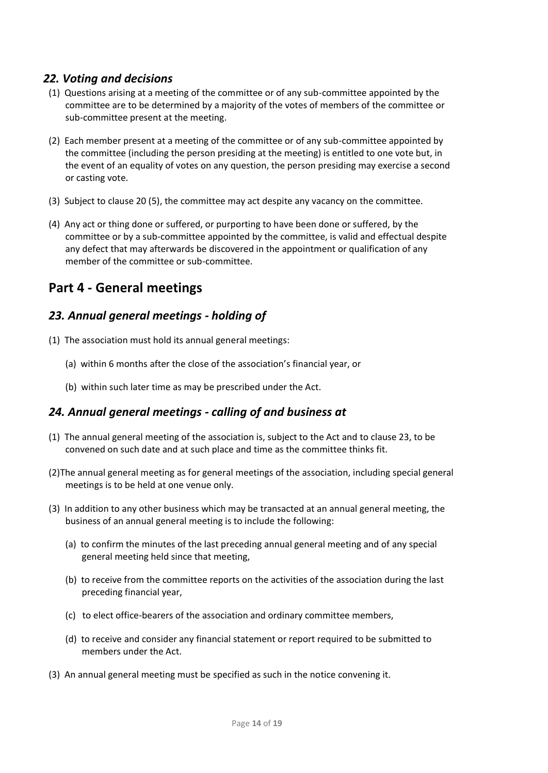#### *22. Voting and decisions*

- (1) Questions arising at a meeting of the committee or of any sub-committee appointed by the committee are to be determined by a majority of the votes of members of the committee or sub-committee present at the meeting.
- (2) Each member present at a meeting of the committee or of any sub-committee appointed by the committee (including the person presiding at the meeting) is entitled to one vote but, in the event of an equality of votes on any question, the person presiding may exercise a second or casting vote.
- (3) Subject to clause 20 (5), the committee may act despite any vacancy on the committee.
- (4) Any act or thing done or suffered, or purporting to have been done or suffered, by the committee or by a sub-committee appointed by the committee, is valid and effectual despite any defect that may afterwards be discovered in the appointment or qualification of any member of the committee or sub-committee.

# **Part 4 - General meetings**

#### *23. Annual general meetings - holding of*

- (1) The association must hold its annual general meetings:
	- (a) within 6 months after the close of the association's financial year, or
	- (b) within such later time as may be prescribed under the Act.

#### *24. Annual general meetings - calling of and business at*

- (1) The annual general meeting of the association is, subject to the Act and to clause 23, to be convened on such date and at such place and time as the committee thinks fit.
- (2)The annual general meeting as for general meetings of the association, including special general meetings is to be held at one venue only.
- (3) In addition to any other business which may be transacted at an annual general meeting, the business of an annual general meeting is to include the following:
	- (a) to confirm the minutes of the last preceding annual general meeting and of any special general meeting held since that meeting,
	- (b) to receive from the committee reports on the activities of the association during the last preceding financial year,
	- (c) to elect office-bearers of the association and ordinary committee members,
	- (d) to receive and consider any financial statement or report required to be submitted to members under the Act.
- (3) An annual general meeting must be specified as such in the notice convening it.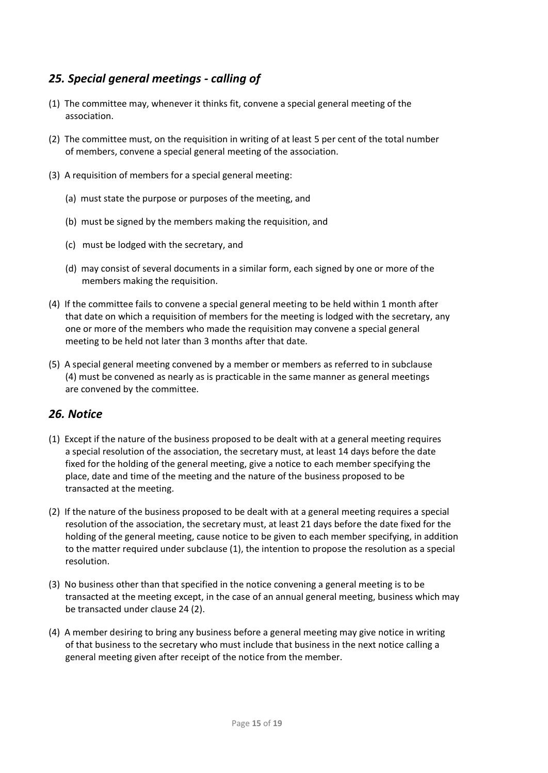#### *25. Special general meetings - calling of*

- (1) The committee may, whenever it thinks fit, convene a special general meeting of the association.
- (2) The committee must, on the requisition in writing of at least 5 per cent of the total number of members, convene a special general meeting of the association.
- (3) A requisition of members for a special general meeting:
	- (a) must state the purpose or purposes of the meeting, and
	- (b) must be signed by the members making the requisition, and
	- (c) must be lodged with the secretary, and
	- (d) may consist of several documents in a similar form, each signed by one or more of the members making the requisition.
- (4) If the committee fails to convene a special general meeting to be held within 1 month after that date on which a requisition of members for the meeting is lodged with the secretary, any one or more of the members who made the requisition may convene a special general meeting to be held not later than 3 months after that date.
- (5) A special general meeting convened by a member or members as referred to in subclause (4) must be convened as nearly as is practicable in the same manner as general meetings are convened by the committee.

#### *26. Notice*

- (1) Except if the nature of the business proposed to be dealt with at a general meeting requires a special resolution of the association, the secretary must, at least 14 days before the date fixed for the holding of the general meeting, give a notice to each member specifying the place, date and time of the meeting and the nature of the business proposed to be transacted at the meeting.
- (2) If the nature of the business proposed to be dealt with at a general meeting requires a special resolution of the association, the secretary must, at least 21 days before the date fixed for the holding of the general meeting, cause notice to be given to each member specifying, in addition to the matter required under subclause (1), the intention to propose the resolution as a special resolution.
- (3) No business other than that specified in the notice convening a general meeting is to be transacted at the meeting except, in the case of an annual general meeting, business which may be transacted under clause 24 (2).
- (4) A member desiring to bring any business before a general meeting may give notice in writing of that business to the secretary who must include that business in the next notice calling a general meeting given after receipt of the notice from the member.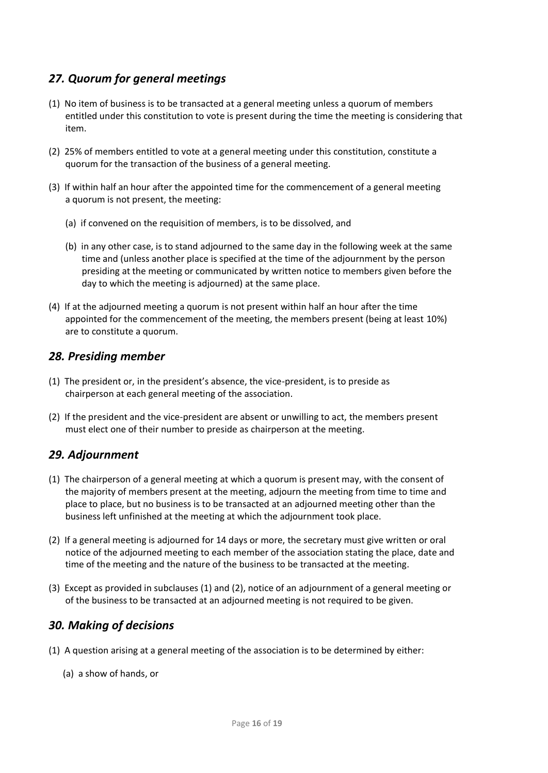#### *27. Quorum for general meetings*

- (1) No item of business is to be transacted at a general meeting unless a quorum of members entitled under this constitution to vote is present during the time the meeting is considering that item.
- (2) 25% of members entitled to vote at a general meeting under this constitution, constitute a quorum for the transaction of the business of a general meeting.
- (3) If within half an hour after the appointed time for the commencement of a general meeting a quorum is not present, the meeting:
	- (a) if convened on the requisition of members, is to be dissolved, and
	- (b) in any other case, is to stand adjourned to the same day in the following week at the same time and (unless another place is specified at the time of the adjournment by the person presiding at the meeting or communicated by written notice to members given before the day to which the meeting is adjourned) at the same place.
- (4) If at the adjourned meeting a quorum is not present within half an hour after the time appointed for the commencement of the meeting, the members present (being at least 10%) are to constitute a quorum.

#### *28. Presiding member*

- (1) The president or, in the president's absence, the vice-president, is to preside as chairperson at each general meeting of the association.
- (2) If the president and the vice-president are absent or unwilling to act, the members present must elect one of their number to preside as chairperson at the meeting.

#### *29. Adjournment*

- (1) The chairperson of a general meeting at which a quorum is present may, with the consent of the majority of members present at the meeting, adjourn the meeting from time to time and place to place, but no business is to be transacted at an adjourned meeting other than the business left unfinished at the meeting at which the adjournment took place.
- (2) If a general meeting is adjourned for 14 days or more, the secretary must give written or oral notice of the adjourned meeting to each member of the association stating the place, date and time of the meeting and the nature of the business to be transacted at the meeting.
- (3) Except as provided in subclauses (1) and (2), notice of an adjournment of a general meeting or of the business to be transacted at an adjourned meeting is not required to be given.

#### *30. Making of decisions*

- (1) A question arising at a general meeting of the association is to be determined by either:
	- (a) a show of hands, or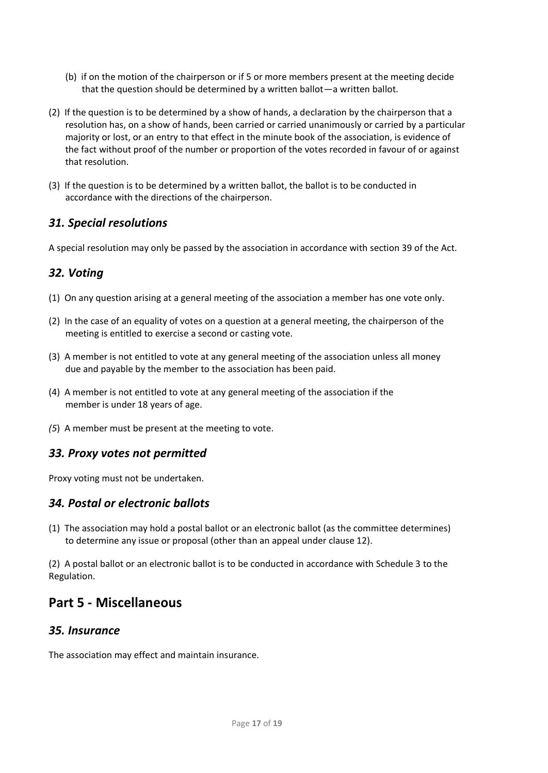- (b) if on the motion of the chairperson or if 5 or more members present at the meeting decide that the question should be determined by a written ballot—a written ballot.
- (2) If the question is to be determined by a show of hands, a declaration by the chairperson that a resolution has, on a show of hands, been carried or carried unanimously or carried by a particular majority or lost, or an entry to that effect in the minute book of the association, is evidence of the fact without proof of the number or proportion of the votes recorded in favour of or against that resolution.
- (3) If the question is to be determined by a written ballot, the ballot is to be conducted in accordance with the directions of the chairperson.

#### *31. Special resolutions*

A special resolution may only be passed by the association in accordance with section 39 of the Act.

#### *32. Voting*

- (1) On any question arising at a general meeting of the association a member has one vote only.
- (2) In the case of an equality of votes on a question at a general meeting, the chairperson of the meeting is entitled to exercise a second or casting vote.
- (3) A member is not entitled to vote at any general meeting of the association unless all money due and payable by the member to the association has been paid.
- (4) A member is not entitled to vote at any general meeting of the association if the member is under 18 years of age.
- *(5*) A member must be present at the meeting to vote.

#### *33. Proxy votes not permitted*

Proxy voting must not be undertaken.

#### *34. Postal or electronic ballots*

(1) The association may hold a postal ballot or an electronic ballot (as the committee determines) to determine any issue or proposal (other than an appeal under clause 12).

(2) A postal ballot or an electronic ballot is to be conducted in accordance with Schedule 3 to the Regulation.

# **Part 5 - Miscellaneous**

#### *35. Insurance*

The association may effect and maintain insurance.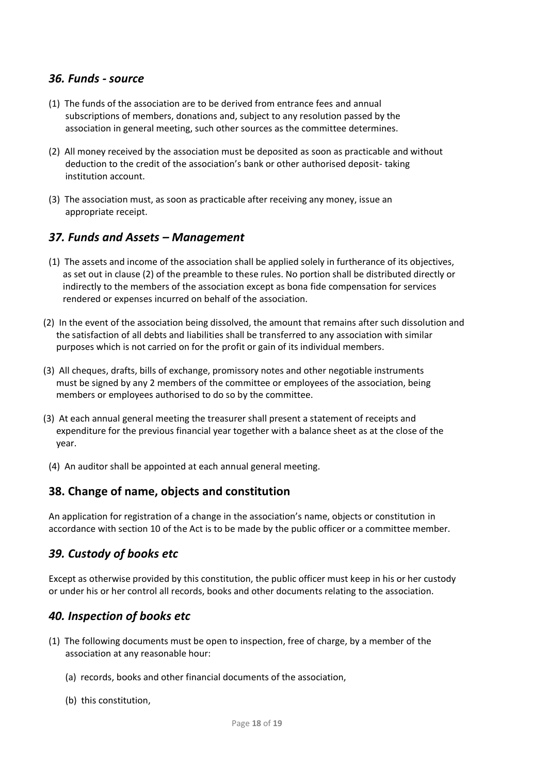#### *36. Funds - source*

- (1) The funds of the association are to be derived from entrance fees and annual subscriptions of members, donations and, subject to any resolution passed by the association in general meeting, such other sources as the committee determines.
- (2) All money received by the association must be deposited as soon as practicable and without deduction to the credit of the association's bank or other authorised deposit- taking institution account.
- (3) The association must, as soon as practicable after receiving any money, issue an appropriate receipt.

#### *37. Funds and Assets – Management*

- (1) The assets and income of the association shall be applied solely in furtherance of its objectives, as set out in clause (2) of the preamble to these rules. No portion shall be distributed directly or indirectly to the members of the association except as bona fide compensation for services rendered or expenses incurred on behalf of the association.
- (2) In the event of the association being dissolved, the amount that remains after such dissolution and the satisfaction of all debts and liabilities shall be transferred to any association with similar purposes which is not carried on for the profit or gain of its individual members.
- (3) All cheques, drafts, bills of exchange, promissory notes and other negotiable instruments must be signed by any 2 members of the committee or employees of the association, being members or employees authorised to do so by the committee.
- (3) At each annual general meeting the treasurer shall present a statement of receipts and expenditure for the previous financial year together with a balance sheet as at the close of the year.
	- (4) An auditor shall be appointed at each annual general meeting.

#### **38. Change of name, objects and constitution**

An application for registration of a change in the association's name, objects or constitution in accordance with section 10 of the Act is to be made by the public officer or a committee member.

#### *39. Custody of books etc*

Except as otherwise provided by this constitution, the public officer must keep in his or her custody or under his or her control all records, books and other documents relating to the association.

#### *40. Inspection of books etc*

- (1) The following documents must be open to inspection, free of charge, by a member of the association at any reasonable hour:
	- (a) records, books and other financial documents of the association,
	- (b) this constitution,